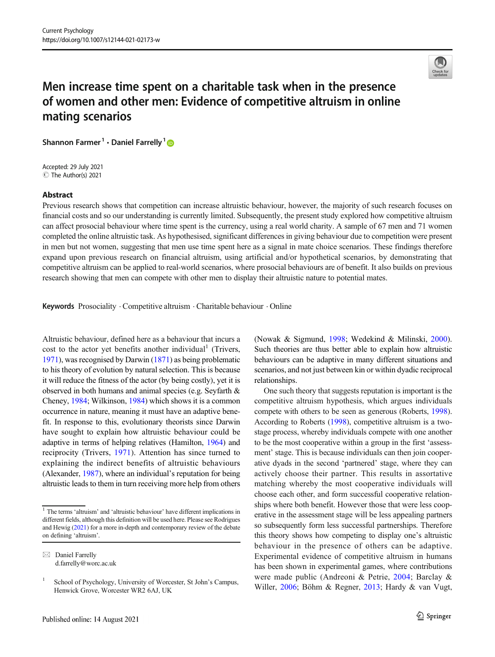

# Men increase time spent on a charitable task when in the presence of women and other men: Evidence of competitive altruism in online mating scenarios

Shannon Farmer<sup>1</sup>  $\cdot$  Daniel Farrelly<sup>1</sup>

Accepted: 29 July 2021 C The Author(s) 2021

#### Abstract

Previous research shows that competition can increase altruistic behaviour, however, the majority of such research focuses on financial costs and so our understanding is currently limited. Subsequently, the present study explored how competitive altruism can affect prosocial behaviour where time spent is the currency, using a real world charity. A sample of 67 men and 71 women completed the online altruistic task. As hypothesised, significant differences in giving behaviour due to competition were present in men but not women, suggesting that men use time spent here as a signal in mate choice scenarios. These findings therefore expand upon previous research on financial altruism, using artificial and/or hypothetical scenarios, by demonstrating that competitive altruism can be applied to real-world scenarios, where prosocial behaviours are of benefit. It also builds on previous research showing that men can compete with other men to display their altruistic nature to potential mates.

**Keywords** Prosociality  $\cdot$  Competitive altruism  $\cdot$  Charitable behaviour  $\cdot$  Online

Altruistic behaviour, defined here as a behaviour that incurs a cost to the actor yet benefits another individual<sup>1</sup> (Trivers, [1971\)](#page-5-0), was recognised by Darwin ([1871](#page-5-0)) as being problematic to his theory of evolution by natural selection. This is because it will reduce the fitness of the actor (by being costly), yet it is observed in both humans and animal species (e.g. Seyfarth & Cheney, [1984;](#page-5-0) Wilkinson, [1984](#page-5-0)) which shows it is a common occurrence in nature, meaning it must have an adaptive benefit. In response to this, evolutionary theorists since Darwin have sought to explain how altruistic behaviour could be adaptive in terms of helping relatives (Hamilton, [1964](#page-5-0)) and reciprocity (Trivers, [1971\)](#page-5-0). Attention has since turned to explaining the indirect benefits of altruistic behaviours (Alexander, [1987\)](#page-4-0), where an individual's reputation for being altruistic leads to them in turn receiving more help from others (Nowak & Sigmund, [1998;](#page-5-0) Wedekind & Milinski, [2000\)](#page-5-0). Such theories are thus better able to explain how altruistic behaviours can be adaptive in many different situations and scenarios, and not just between kin or within dyadic reciprocal relationships.

One such theory that suggests reputation is important is the competitive altruism hypothesis, which argues individuals compete with others to be seen as generous (Roberts, [1998\)](#page-5-0). According to Roberts ([1998](#page-5-0)), competitive altruism is a twostage process, whereby individuals compete with one another to be the most cooperative within a group in the first 'assessment' stage. This is because individuals can then join cooperative dyads in the second 'partnered' stage, where they can actively choose their partner. This results in assortative matching whereby the most cooperative individuals will choose each other, and form successful cooperative relationships where both benefit. However those that were less cooperative in the assessment stage will be less appealing partners so subsequently form less successful partnerships. Therefore this theory shows how competing to display one's altruistic behaviour in the presence of others can be adaptive. Experimental evidence of competitive altruism in humans has been shown in experimental games, where contributions were made public (Andreoni & Petrie, [2004](#page-4-0); Barclay & Willer, [2006](#page-4-0); Böhm & Regner, [2013;](#page-5-0) Hardy & van Vugt,

<sup>&</sup>lt;sup>1</sup> The terms 'altruism' and 'altruistic behaviour' have different implications in different fields, although this definition will be used here. Please see Rodrigues and Hewig [\(2021](#page-5-0)) for a more in-depth and contemporary review of the debate on defining 'altruism'.

 $\boxtimes$  Daniel Farrelly [d.farrelly@worc.ac.uk](mailto:d.farrelly@worc.ac.uk)

<sup>&</sup>lt;sup>1</sup> School of Psychology, University of Worcester, St John's Campus, Henwick Grove, Worcester WR2 6AJ, UK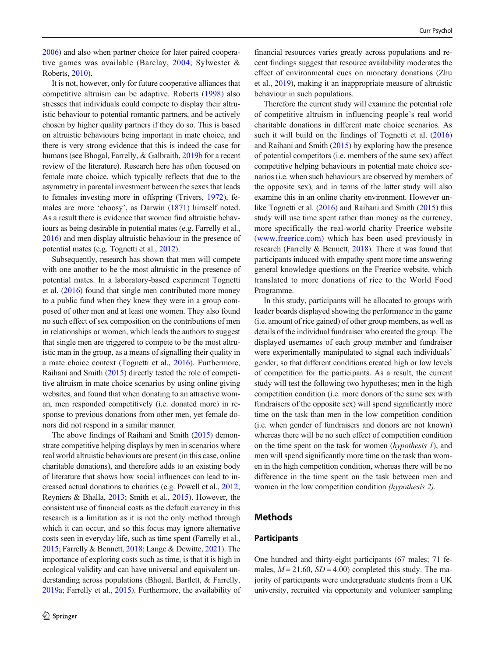[2006\)](#page-5-0) and also when partner choice for later paired cooperative games was available (Barclay, [2004;](#page-4-0) Sylwester & Roberts, [2010\)](#page-5-0).

It is not, however, only for future cooperative alliances that competitive altruism can be adaptive. Roberts [\(1998](#page-5-0)) also stresses that individuals could compete to display their altruistic behaviour to potential romantic partners, and be actively chosen by higher quality partners if they do so. This is based on altruistic behaviours being important in mate choice, and there is very strong evidence that this is indeed the case for humans (see Bhogal, Farrelly, & Galbraith, [2019b](#page-4-0) for a recent review of the literature). Research here has often focused on female mate choice, which typically reflects that due to the asymmetry in parental investment between the sexes that leads to females investing more in offspring (Trivers, [1972\)](#page-5-0), females are more 'choosy', as Darwin [\(1871](#page-5-0)) himself noted. As a result there is evidence that women find altruistic behaviours as being desirable in potential mates (e.g. Farrelly et al., [2016\)](#page-5-0) and men display altruistic behaviour in the presence of potential mates (e.g. Tognetti et al., [2012](#page-5-0)).

Subsequently, research has shown that men will compete with one another to be the most altruistic in the presence of potential mates. In a laboratory-based experiment Tognetti et al. ([2016](#page-5-0)) found that single men contributed more money to a public fund when they knew they were in a group composed of other men and at least one women. They also found no such effect of sex composition on the contributions of men in relationships or women, which leads the authors to suggest that single men are triggered to compete to be the most altruistic man in the group, as a means of signalling their quality in a mate choice context (Tognetti et al., [2016\)](#page-5-0). Furthermore, Raihani and Smith ([2015](#page-5-0)) directly tested the role of competitive altruism in mate choice scenarios by using online giving websites, and found that when donating to an attractive woman, men responded competitively (i.e. donated more) in response to previous donations from other men, yet female donors did not respond in a similar manner.

The above findings of Raihani and Smith [\(2015](#page-5-0)) demonstrate competitive helping displays by men in scenarios where real world altruistic behaviours are present (in this case, online charitable donations), and therefore adds to an existing body of literature that shows how social influences can lead to increased actual donations to charities (e.g. Powell et al., [2012](#page-5-0); Reyniers & Bhalla, [2013](#page-5-0); Smith et al., [2015](#page-5-0)). However, the consistent use of financial costs as the default currency in this research is a limitation as it is not the only method through which it can occur, and so this focus may ignore alternative costs seen in everyday life, such as time spent (Farrelly et al., [2015;](#page-5-0) Farrelly & Bennett, [2018](#page-5-0); Lange & Dewitte, [2021](#page-5-0)). The importance of exploring costs such as time, is that it is high in ecological validity and can have universal and equivalent understanding across populations (Bhogal, Bartlett, & Farrelly, [2019a;](#page-4-0) Farrelly et al., [2015\)](#page-5-0). Furthermore, the availability of

financial resources varies greatly across populations and recent findings suggest that resource availability moderates the effect of environmental cues on monetary donations (Zhu et al., [2019](#page-5-0)), making it an inappropriate measure of altruistic behaviour in such populations.

Therefore the current study will examine the potential role of competitive altruism in influencing people's real world charitable donations in different mate choice scenarios. As such it will build on the findings of Tognetti et al. [\(2016](#page-5-0)) and Raihani and Smith [\(2015\)](#page-5-0) by exploring how the presence of potential competitors (i.e. members of the same sex) affect competitive helping behaviours in potential mate choice scenarios (i.e. when such behaviours are observed by members of the opposite sex), and in terms of the latter study will also examine this in an online charity environment. However unlike Tognetti et al. ([2016](#page-5-0)) and Raihani and Smith ([2015](#page-5-0)) this study will use time spent rather than money as the currency, more specifically the real-world charity Freerice website ([www.freerice.com\)](http://www.freerice.com) which has been used previously in research (Farrelly & Bennett, [2018](#page-5-0)). There it was found that participants induced with empathy spent more time answering general knowledge questions on the Freerice website, which translated to more donations of rice to the World Food Programme.

In this study, participants will be allocated to groups with leader boards displayed showing the performance in the game (i.e. amount of rice gained) of other group members, as well as details of the individual fundraiser who created the group. The displayed usernames of each group member and fundraiser were experimentally manipulated to signal each individuals' gender, so that different conditions created high or low levels of competition for the participants. As a result, the current study will test the following two hypotheses; men in the high competition condition (i.e. more donors of the same sex with fundraisers of the opposite sex) will spend significantly more time on the task than men in the low competition condition (i.e. when gender of fundraisers and donors are not known) whereas there will be no such effect of competition condition on the time spent on the task for women (hypothesis 1), and men will spend significantly more time on the task than women in the high competition condition, whereas there will be no difference in the time spent on the task between men and women in the low competition condition (hypothesis 2).

# Methods

### **Participants**

One hundred and thirty-eight participants (67 males; 71 females,  $M = 21.60$ ,  $SD = 4.00$ ) completed this study. The majority of participants were undergraduate students from a UK university, recruited via opportunity and volunteer sampling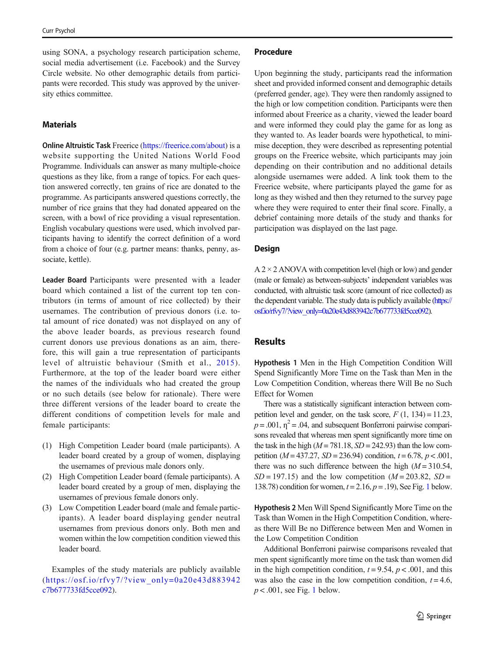using SONA, a psychology research participation scheme, social media advertisement (i.e. Facebook) and the Survey Circle website. No other demographic details from participants were recorded. This study was approved by the university ethics committee.

#### Materials

Online Altruistic Task Freerice [\(https://freerice.com/about\)](https://freerice.com/about) is a website supporting the United Nations World Food Programme. Individuals can answer as many multiple-choice questions as they like, from a range of topics. For each question answered correctly, ten grains of rice are donated to the programme. As participants answered questions correctly, the number of rice grains that they had donated appeared on the screen, with a bowl of rice providing a visual representation. English vocabulary questions were used, which involved participants having to identify the correct definition of a word from a choice of four (e.g. partner means: thanks, penny, associate, kettle).

Leader Board Participants were presented with a leader board which contained a list of the current top ten contributors (in terms of amount of rice collected) by their usernames. The contribution of previous donors (i.e. total amount of rice donated) was not displayed on any of the above leader boards, as previous research found current donors use previous donations as an aim, therefore, this will gain a true representation of participants level of altruistic behaviour (Smith et al., [2015\)](#page-5-0). Furthermore, at the top of the leader board were either the names of the individuals who had created the group or no such details (see below for rationale). There were three different versions of the leader board to create the different conditions of competition levels for male and female participants:

- (1) High Competition Leader board (male participants). A leader board created by a group of women, displaying the usernames of previous male donors only.
- (2) High Competition Leader board (female participants). A leader board created by a group of men, displaying the usernames of previous female donors only.
- (3) Low Competition Leader board (male and female participants). A leader board displaying gender neutral usernames from previous donors only. Both men and women within the low competition condition viewed this leader board.

Examples of the study materials are publicly available ([https://osf.io/rfvy7/?view\\_only=0a20e43d883942](https://osf.io/rfvy7/?view_only=0a20e43d883942c7b677733fd5cce092) [c7b677733fd5cce092\)](https://osf.io/rfvy7/?view_only=0a20e43d883942c7b677733fd5cce092).

#### Procedure

Upon beginning the study, participants read the information sheet and provided informed consent and demographic details (preferred gender, age). They were then randomly assigned to the high or low competition condition. Participants were then informed about Freerice as a charity, viewed the leader board and were informed they could play the game for as long as they wanted to. As leader boards were hypothetical, to minimise deception, they were described as representing potential groups on the Freerice website, which participants may join depending on their contribution and no additional details alongside usernames were added. A link took them to the Freerice website, where participants played the game for as long as they wished and then they returned to the survey page where they were required to enter their final score. Finally, a debrief containing more details of the study and thanks for participation was displayed on the last page.

#### **Design**

 $A$  2  $\times$  2 ANOVA with competition level (high or low) and gender (male or female) as between-subjects' independent variables was conducted, with altruistic task score (amount of rice collected) as the dependent variable. The study data is publicly available [\(https://](https://osf.io/rfvy7/?view_only=0a20e43d883942c7b677733fd5cce092) [osf.io/rfvy7/?view\\_only=0a20e43d883942c7b677733fd5cce092\)](https://osf.io/rfvy7/?view_only=0a20e43d883942c7b677733fd5cce092).

## Results

Hypothesis 1 Men in the High Competition Condition Will Spend Significantly More Time on the Task than Men in the Low Competition Condition, whereas there Will Be no Such Effect for Women

There was a statistically significant interaction between competition level and gender, on the task score,  $F(1, 134) = 11.23$ ,  $p = .001$ ,  $\eta^2 = .04$ , and subsequent Bonferroni pairwise comparisons revealed that whereas men spent significantly more time on the task in the high ( $M = 781.18$ ,  $SD = 242.93$ ) than the low competition ( $M = 437.27$ ,  $SD = 236.94$ ) condition,  $t = 6.78$ ,  $p < .001$ , there was no such difference between the high  $(M = 310.54$ ,  $SD = 197.15$ ) and the low competition ( $M = 203.82$ ,  $SD =$ [1](#page-3-0)38.78) condition for women,  $t = 2.16$ ,  $p = .19$ ), See Fig. 1 below.

Hypothesis 2 Men Will Spend Significantly More Time on the Task than Women in the High Competition Condition, whereas there Will Be no Difference between Men and Women in the Low Competition Condition

Additional Bonferroni pairwise comparisons revealed that men spent significantly more time on the task than women did in the high competition condition,  $t = 9.54$ ,  $p < .001$ , and this was also the case in the low competition condition,  $t = 4.6$ ,  $p < .001$  $p < .001$ , see Fig. 1 below.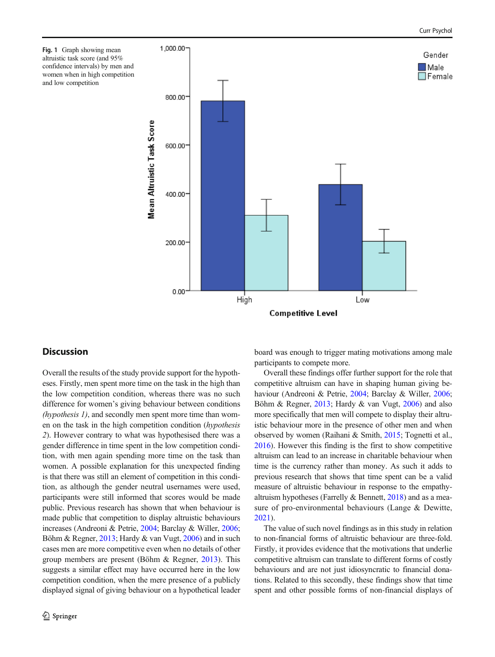<span id="page-3-0"></span>



# **Discussion**

Overall the results of the study provide support for the hypotheses. Firstly, men spent more time on the task in the high than the low competition condition, whereas there was no such difference for women's giving behaviour between conditions (hypothesis 1), and secondly men spent more time than women on the task in the high competition condition (hypothesis 2). However contrary to what was hypothesised there was a gender difference in time spent in the low competition condition, with men again spending more time on the task than women. A possible explanation for this unexpected finding is that there was still an element of competition in this condition, as although the gender neutral usernames were used, participants were still informed that scores would be made public. Previous research has shown that when behaviour is made public that competition to display altruistic behaviours increases (Andreoni & Petrie, [2004;](#page-4-0) Barclay & Willer, [2006](#page-4-0); Böhm & Regner, [2013](#page-5-0); Hardy & van Vugt, [2006\)](#page-5-0) and in such cases men are more competitive even when no details of other group members are present (Böhm & Regner, [2013](#page-5-0)). This suggests a similar effect may have occurred here in the low competition condition, when the mere presence of a publicly displayed signal of giving behaviour on a hypothetical leader board was enough to trigger mating motivations among male participants to compete more.

Overall these findings offer further support for the role that competitive altruism can have in shaping human giving behaviour (Andreoni & Petrie, [2004](#page-4-0); Barclay & Willer, [2006;](#page-4-0) Böhm & Regner, [2013;](#page-5-0) Hardy & van Vugt, [2006\)](#page-5-0) and also more specifically that men will compete to display their altruistic behaviour more in the presence of other men and when observed by women (Raihani & Smith, [2015](#page-5-0); Tognetti et al., [2016\)](#page-5-0). However this finding is the first to show competitive altruism can lead to an increase in charitable behaviour when time is the currency rather than money. As such it adds to previous research that shows that time spent can be a valid measure of altruistic behaviour in response to the empathyaltruism hypotheses (Farrelly & Bennett, [2018\)](#page-5-0) and as a measure of pro-environmental behaviours (Lange & Dewitte, [2021\)](#page-5-0).

The value of such novel findings as in this study in relation to non-financial forms of altruistic behaviour are three-fold. Firstly, it provides evidence that the motivations that underlie competitive altruism can translate to different forms of costly behaviours and are not just idiosyncratic to financial donations. Related to this secondly, these findings show that time spent and other possible forms of non-financial displays of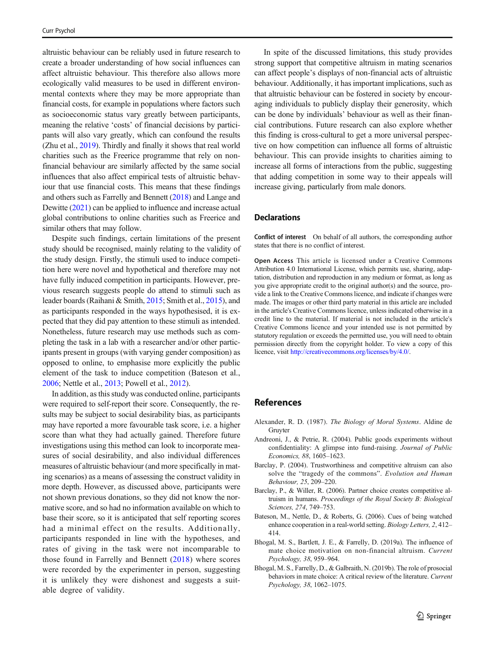<span id="page-4-0"></span>altruistic behaviour can be reliably used in future research to create a broader understanding of how social influences can affect altruistic behaviour. This therefore also allows more ecologically valid measures to be used in different environmental contexts where they may be more appropriate than financial costs, for example in populations where factors such as socioeconomic status vary greatly between participants, meaning the relative 'costs' of financial decisions by participants will also vary greatly, which can confound the results (Zhu et al., [2019](#page-5-0)). Thirdly and finally it shows that real world charities such as the Freerice programme that rely on nonfinancial behaviour are similarly affected by the same social influences that also affect empirical tests of altruistic behaviour that use financial costs. This means that these findings and others such as Farrelly and Bennett [\(2018\)](#page-5-0) and Lange and Dewitte ([2021](#page-5-0)) can be applied to influence and increase actual global contributions to online charities such as Freerice and similar others that may follow.

Despite such findings, certain limitations of the present study should be recognised, mainly relating to the validity of the study design. Firstly, the stimuli used to induce competition here were novel and hypothetical and therefore may not have fully induced competition in participants. However, previous research suggests people do attend to stimuli such as leader boards (Raihani & Smith, [2015;](#page-5-0) Smith et al., [2015\)](#page-5-0), and as participants responded in the ways hypothesised, it is expected that they did pay attention to these stimuli as intended. Nonetheless, future research may use methods such as completing the task in a lab with a researcher and/or other participants present in groups (with varying gender composition) as opposed to online, to emphasise more explicitly the public element of the task to induce competition (Bateson et al., 2006; Nettle et al., [2013](#page-5-0); Powell et al., [2012\)](#page-5-0).

In addition, as this study was conducted online, participants were required to self-report their score. Consequently, the results may be subject to social desirability bias, as participants may have reported a more favourable task score, i.e. a higher score than what they had actually gained. Therefore future investigations using this method can look to incorporate measures of social desirability, and also individual differences measures of altruistic behaviour (and more specifically in mating scenarios) as a means of assessing the construct validity in more depth. However, as discussed above, participants were not shown previous donations, so they did not know the normative score, and so had no information available on which to base their score, so it is anticipated that self reporting scores had a minimal effect on the results. Additionally, participants responded in line with the hypotheses, and rates of giving in the task were not incomparable to those found in Farrelly and Bennett ([2018](#page-5-0)) where scores were recorded by the experimenter in person, suggesting it is unlikely they were dishonest and suggests a suitable degree of validity.

In spite of the discussed limitations, this study provides strong support that competitive altruism in mating scenarios can affect people's displays of non-financial acts of altruistic behaviour. Additionally, it has important implications, such as that altruistic behaviour can be fostered in society by encouraging individuals to publicly display their generosity, which can be done by individuals' behaviour as well as their financial contributions. Future research can also explore whether this finding is cross-cultural to get a more universal perspective on how competition can influence all forms of altruistic behaviour. This can provide insights to charities aiming to increase all forms of interactions from the public, suggesting that adding competition in some way to their appeals will increase giving, particularly from male donors.

## **Declarations**

Conflict of interest On behalf of all authors, the corresponding author states that there is no conflict of interest.

Open Access This article is licensed under a Creative Commons Attribution 4.0 International License, which permits use, sharing, adaptation, distribution and reproduction in any medium or format, as long as you give appropriate credit to the original author(s) and the source, provide a link to the Creative Commons licence, and indicate if changes were made. The images or other third party material in this article are included in the article's Creative Commons licence, unless indicated otherwise in a credit line to the material. If material is not included in the article's Creative Commons licence and your intended use is not permitted by statutory regulation or exceeds the permitted use, you will need to obtain permission directly from the copyright holder. To view a copy of this licence, visit <http://creativecommons.org/licenses/by/4.0/>.

## References

- Alexander, R. D. (1987). The Biology of Moral Systems. Aldine de Gruyter
- Andreoni, J., & Petrie, R. (2004). Public goods experiments without confidentiality: A glimpse into fund-raising. Journal of Public Economics, 88, 1605–1623.
- Barclay, P. (2004). Trustworthiness and competitive altruism can also solve the "tragedy of the commons". Evolution and Human Behaviour, 25, 209–220.
- Barclay, P., & Willer, R. (2006). Partner choice creates competitive altruism in humans. Proceedings of the Royal Society B: Biological Sciences, 274, 749–753.
- Bateson, M., Nettle, D., & Roberts, G. (2006). Cues of being watched enhance cooperation in a real-world setting. Biology Letters, 2, 412– 414.
- Bhogal, M. S., Bartlett, J. E., & Farrelly, D. (2019a). The influence of mate choice motivation on non-financial altruism. Current Psychology, 38, 959–964.
- Bhogal, M. S., Farrelly, D., & Galbraith, N. (2019b). The role of prosocial behaviors in mate choice: A critical review of the literature. Current Psychology, 38, 1062–1075.